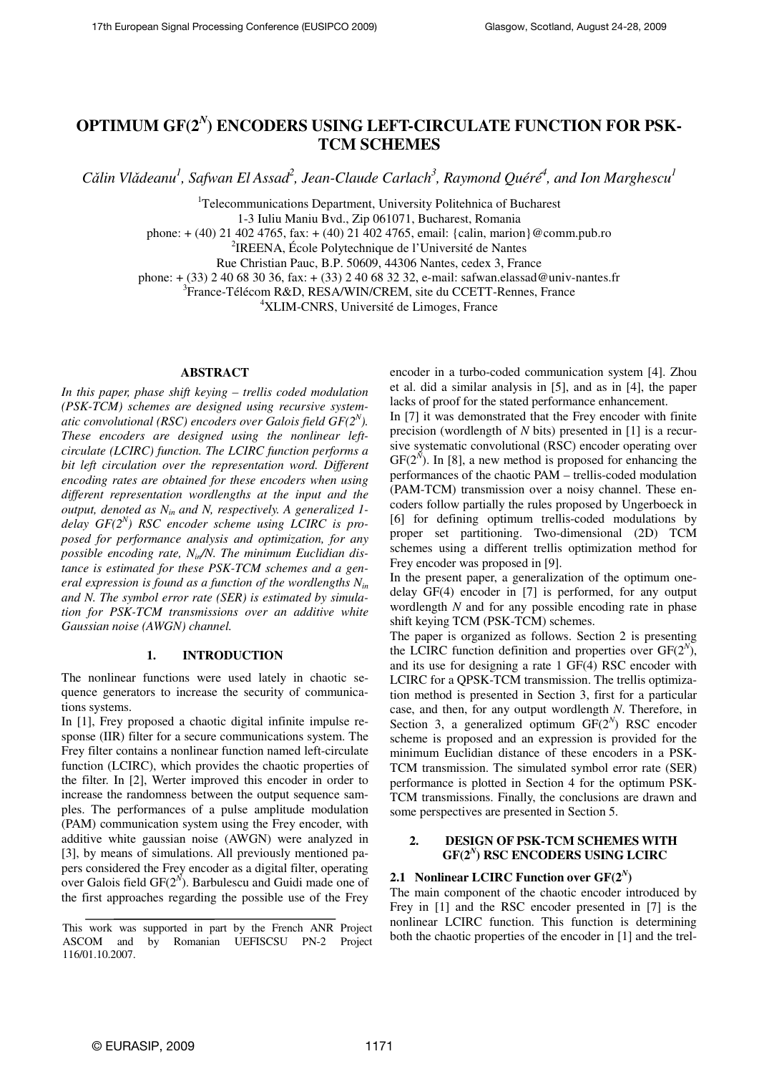# **OPTIMUM GF(2***<sup>N</sup>* **) ENCODERS USING LEFT-CIRCULATE FUNCTION FOR PSK-TCM SCHEMES**

*C*ǎ*lin Vl*ǎ*deanu<sup>1</sup> , Safwan El Assad<sup>2</sup> , Jean-Claude Carlach<sup>3</sup> , Raymond Quéré<sup>4</sup> , and Ion Marghescu<sup>1</sup>*

<sup>1</sup>Telecommunications Department, University Politehnica of Bucharest

1-3 Iuliu Maniu Bvd., Zip 061071, Bucharest, Romania

phone: + (40) 21 402 4765, fax: + (40) 21 402 4765, email: {calin, marion}@comm.pub.ro

2 IREENA, École Polytechnique de l'Université de Nantes

Rue Christian Pauc, B.P. 50609, 44306 Nantes, cedex 3, France

phone: + (33) 2 40 68 30 36, fax: + (33) 2 40 68 32 32, e-mail: safwan.elassad@univ-nantes.fr

3 France-Télécom R&D, RESA/WIN/CREM, site du CCETT-Rennes, France

<sup>4</sup>XLIM-CNRS, Université de Limoges, France

## **ABSTRACT**

*In this paper, phase shift keying – trellis coded modulation (PSK-TCM) schemes are designed using recursive systematic convolutional (RSC) encoders over Galois field GF(2<sup>N</sup> ). These encoders are designed using the nonlinear leftcirculate (LCIRC) function. The LCIRC function performs a*  bit left circulation over the representation word. Different *encoding rates are obtained for these encoders when using different representation wordlengths at the input and the output, denoted as Nin and N, respectively. A generalized 1 delay GF(2<sup>N</sup> ) RSC encoder scheme using LCIRC is proposed for performance analysis and optimization, for any possible encoding rate, Nin/N. The minimum Euclidian distance is estimated for these PSK-TCM schemes and a general expression is found as a function of the wordlengths Nin and N. The symbol error rate (SER) is estimated by simulation for PSK-TCM transmissions over an additive white Gaussian noise (AWGN) channel.* 

## **1. INTRODUCTION**

The nonlinear functions were used lately in chaotic sequence generators to increase the security of communications systems.

In [1], Frey proposed a chaotic digital infinite impulse response (IIR) filter for a secure communications system. The Frey filter contains a nonlinear function named left-circulate function (LCIRC), which provides the chaotic properties of the filter. In [2], Werter improved this encoder in order to increase the randomness between the output sequence samples. The performances of a pulse amplitude modulation (PAM) communication system using the Frey encoder, with additive white gaussian noise (AWGN) were analyzed in [3], by means of simulations. All previously mentioned papers considered the Frey encoder as a digital filter, operating over Galois field  $GF(2^N)$ . Barbulescu and Guidi made one of the first approaches regarding the possible use of the Frey

encoder in a turbo-coded communication system [4]. Zhou et al. did a similar analysis in [5], and as in [4], the paper lacks of proof for the stated performance enhancement.

In [7] it was demonstrated that the Frey encoder with finite precision (wordlength of *N* bits) presented in [1] is a recursive systematic convolutional (RSC) encoder operating over  $GF(2^N)$ . In [8], a new method is proposed for enhancing the performances of the chaotic PAM – trellis-coded modulation (PAM-TCM) transmission over a noisy channel. These encoders follow partially the rules proposed by Ungerboeck in [6] for defining optimum trellis-coded modulations by proper set partitioning. Two-dimensional (2D) TCM schemes using a different trellis optimization method for Frey encoder was proposed in [9].

In the present paper, a generalization of the optimum onedelay GF(4) encoder in [7] is performed, for any output wordlength *N* and for any possible encoding rate in phase shift keying TCM (PSK-TCM) schemes.

The paper is organized as follows. Section 2 is presenting the LCIRC function definition and properties over  $GF(2^N)$ , and its use for designing a rate 1 GF(4) RSC encoder with LCIRC for a QPSK-TCM transmission. The trellis optimization method is presented in Section 3, first for a particular case, and then, for any output wordlength *N*. Therefore, in Section 3, a generalized optimum  $GF(2^N)$  RSC encoder scheme is proposed and an expression is provided for the minimum Euclidian distance of these encoders in a PSK-TCM transmission. The simulated symbol error rate (SER) performance is plotted in Section 4 for the optimum PSK-TCM transmissions. Finally, the conclusions are drawn and some perspectives are presented in Section 5.

## **2. DESIGN OF PSK-TCM SCHEMES WITH GF(2***<sup>N</sup>* **) RSC ENCODERS USING LCIRC**

## **2.1 Nonlinear LCIRC Function over**  $GF(2^N)$

The main component of the chaotic encoder introduced by Frey in [1] and the RSC encoder presented in [7] is the nonlinear LCIRC function. This function is determining both the chaotic properties of the encoder in [1] and the trel-

This work was supported in part by the French ANR Project ASCOM and by Romanian UEFISCSU PN-2 Project 116/01.10.2007.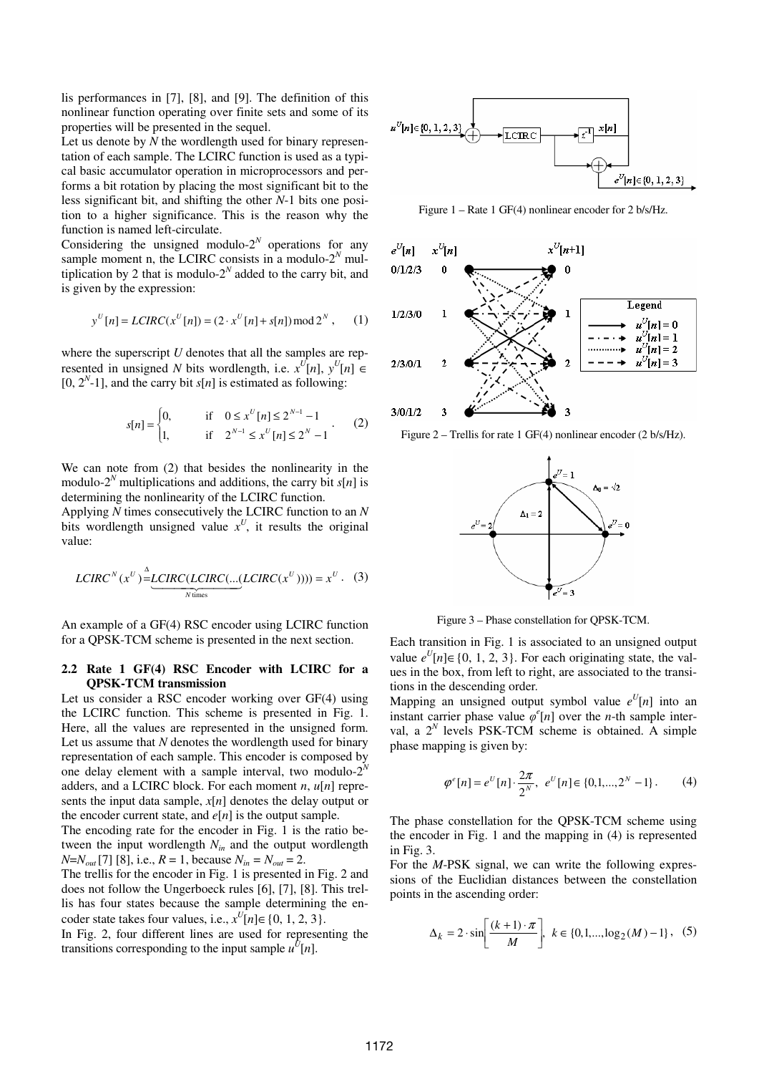lis performances in [7], [8], and [9]. The definition of this nonlinear function operating over finite sets and some of its properties will be presented in the sequel.

Let us denote by *N* the wordlength used for binary representation of each sample. The LCIRC function is used as a typical basic accumulator operation in microprocessors and performs a bit rotation by placing the most significant bit to the less significant bit, and shifting the other *N*-1 bits one position to a higher significance. This is the reason why the function is named left-circulate.

Considering the unsigned modulo- $2^N$  operations for any sample moment n, the LCIRC consists in a modulo- $2^N$  multiplication by 2 that is modulo- $2^N$  added to the carry bit, and is given by the expression:

$$
y^{U}[n] = LCIRC(x^{U}[n]) = (2 \cdot x^{U}[n] + s[n]) \mod 2^{N}, \quad (1)
$$

where the superscript *U* denotes that all the samples are represented in unsigned *N* bits wordlength, i.e.  $x^{U}[n]$ ,  $y^{U}[n] \in$  $[0, 2<sup>N</sup> - 1]$ , and the carry bit *s*[*n*] is estimated as following:

$$
s[n] = \begin{cases} 0, & \text{if } 0 \le x^U[n] \le 2^{N-1} - 1 \\ 1, & \text{if } 2^{N-1} \le x^U[n] \le 2^N - 1 \end{cases} \tag{2}
$$

We can note from (2) that besides the nonlinearity in the modulo-2<sup>*N*</sup> multiplications and additions, the carry bit  $s[n]$  is determining the nonlinearity of the LCIRC function.

Applying *N* times consecutively the LCIRC function to an *N* bits wordlength unsigned value  $x^U$ , it results the original value:

$$
LCIRC^{N}(x^{U}) \stackrel{\Delta}{=} \underbrace{LCIRC(LCIRC(\dots(LCIRC(x^{U})))) = x^{U}. \quad (3)
$$

An example of a GF(4) RSC encoder using LCIRC function for a QPSK-TCM scheme is presented in the next section.

#### **2.2 Rate 1 GF(4) RSC Encoder with LCIRC for a QPSK-TCM transmission**

Let us consider a RSC encoder working over GF(4) using the LCIRC function. This scheme is presented in Fig. 1. Here, all the values are represented in the unsigned form. Let us assume that *N* denotes the wordlength used for binary representation of each sample. This encoder is composed by one delay element with a sample interval, two modulo- $2^N$ adders, and a LCIRC block. For each moment *n*, *u*[*n*] represents the input data sample, *x*[*n*] denotes the delay output or the encoder current state, and  $e[n]$  is the output sample.

The encoding rate for the encoder in Fig. 1 is the ratio between the input wordlength *Nin* and the output wordlength *N*=*N*<sub>*out*</sub>[7] [8], i.e., *R* = 1, because  $N_{in} = N_{out} = 2$ .

The trellis for the encoder in Fig. 1 is presented in Fig. 2 and does not follow the Ungerboeck rules [6], [7], [8]. This trellis has four states because the sample determining the encoder state takes four values, i.e.,  $x^U[n] \in \{0, 1, 2, 3\}.$ 

In Fig. 2, four different lines are used for representing the transitions corresponding to the input sample  $u^{\hat{U}}[n]$ .



Figure 1 – Rate 1 GF(4) nonlinear encoder for 2 b/s/Hz.



Figure 2 – Trellis for rate 1 GF(4) nonlinear encoder (2 b/s/Hz).



Figure 3 – Phase constellation for QPSK-TCM.

Each transition in Fig. 1 is associated to an unsigned output value  $e^{U}[n]$ ∈ {0, 1, 2, 3}. For each originating state, the values in the box, from left to right, are associated to the transitions in the descending order.

Mapping an unsigned output symbol value  $e^{U}[n]$  into an instant carrier phase value  $\varphi^e[n]$  over the *n*-th sample interval, a  $2^N$  levels PSK-TCM scheme is obtained. A simple phase mapping is given by:

$$
\varphi^{e}[n] = e^{U}[n] \cdot \frac{2\pi}{2^{N}}, \ e^{U}[n] \in \{0, 1, ..., 2^{N} - 1\}.
$$
 (4)

The phase constellation for the QPSK-TCM scheme using the encoder in Fig. 1 and the mapping in (4) is represented in Fig. 3.

For the *M*-PSK signal, we can write the following expressions of the Euclidian distances between the constellation points in the ascending order:

$$
\Delta_k = 2 \cdot \sin \left[ \frac{(k+1) \cdot \pi}{M} \right], \ k \in \{0, 1, \dots, \log_2(M) - 1\}, \tag{5}
$$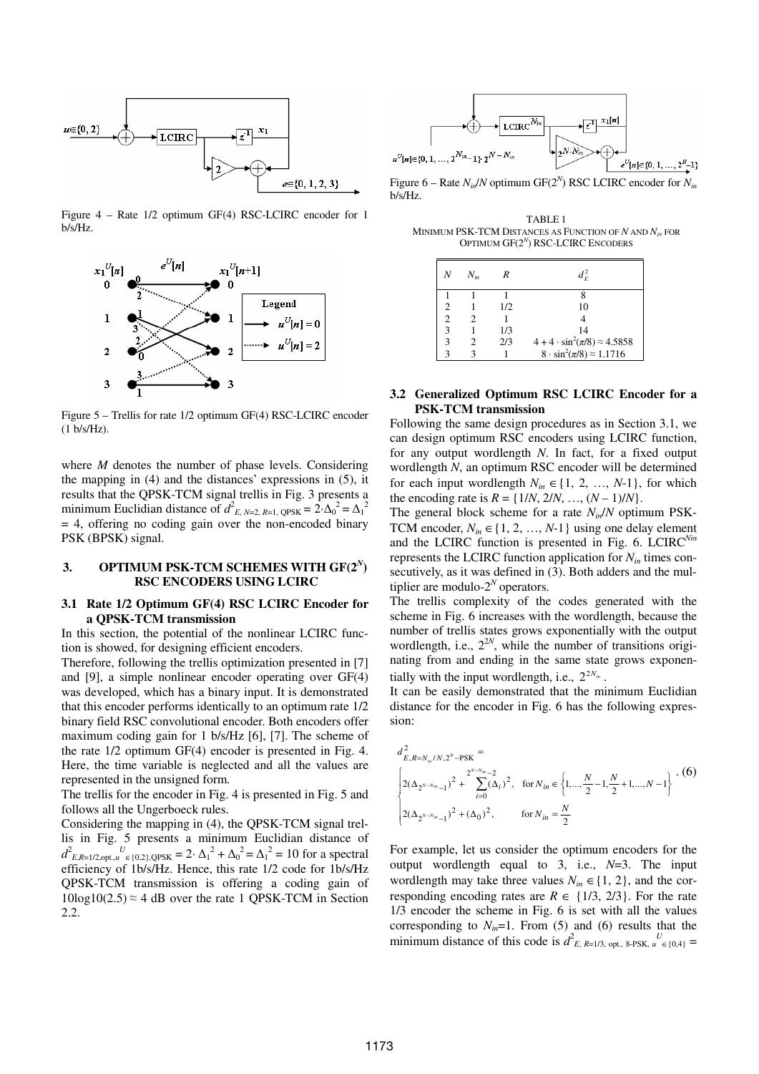

Figure 4 – Rate 1/2 optimum GF(4) RSC-LCIRC encoder for 1 b/s/Hz.



Figure 5 – Trellis for rate 1/2 optimum GF(4) RSC-LCIRC encoder (1 b/s/Hz).

where *M* denotes the number of phase levels. Considering the mapping in (4) and the distances' expressions in (5), it results that the QPSK-TCM signal trellis in Fig. 3 presents a minimum Euclidian distance of  $d_{E, N=2, R=1, QPSK}^2 = 2 \cdot {\Delta_0}^2 = {\Delta_1}^2$  $= 4$ , offering no coding gain over the non-encoded binary PSK (BPSK) signal.

## **3. OPTIMUM PSK-TCM SCHEMES WITH GF(2***<sup>N</sup>* **) RSC ENCODERS USING LCIRC**

#### **3.1 Rate 1/2 Optimum GF(4) RSC LCIRC Encoder for a QPSK-TCM transmission**

In this section, the potential of the nonlinear LCIRC function is showed, for designing efficient encoders.

Therefore, following the trellis optimization presented in [7] and [9], a simple nonlinear encoder operating over GF(4) was developed, which has a binary input. It is demonstrated that this encoder performs identically to an optimum rate 1/2 binary field RSC convolutional encoder. Both encoders offer maximum coding gain for 1 b/s/Hz [6], [7]. The scheme of the rate 1/2 optimum GF(4) encoder is presented in Fig. 4. Here, the time variable is neglected and all the values are represented in the unsigned form.

The trellis for the encoder in Fig. 4 is presented in Fig. 5 and follows all the Ungerboeck rules.

Considering the mapping in (4), the QPSK-TCM signal trellis in Fig. 5 presents a minimum Euclidian distance of  $d_{E,R=1/2,\text{opt.},u}^{2}$  *U*<sub>*U*</sub> ∈{0,2},QPSK = 2⋅ ∆<sub>1</sub><sup>2</sup> + ∆<sub>0</sub><sup>2</sup> = ∆<sub>1</sub><sup>2</sup> = 10 for a spectral efficiency of 1b/s/Hz. Hence, this rate 1/2 code for 1b/s/Hz QPSK-TCM transmission is offering a coding gain of  $10\log 10(2.5) \approx 4$  dB over the rate 1 QPSK-TCM in Section 2.2.



Figure 6 – Rate  $N_{in}/N$  optimum GF( $2^N$ ) RSC LCIRC encoder for  $N_{in}$ b/s/Hz.

TABLE 1 MINIMUM PSK-TCM DISTANCES AS FUNCTION OF  $N$  AND  $N_N$  FOR OPTIMUM GF(2*<sup>N</sup>* ) RSC-LCIRC ENCODERS

| Ν                           | $N_{in}$ | R   | $d_F^2$                                    |
|-----------------------------|----------|-----|--------------------------------------------|
|                             |          |     |                                            |
|                             |          | 1/2 | 10                                         |
| $\mathcal{D}_{\mathcal{A}}$ |          |     |                                            |
| 3                           |          | 1/3 | 14                                         |
| 3                           |          | 2/3 | $4 + 4 \cdot \sin^2(\pi/8) \approx 4.5858$ |
| 3                           |          |     | $8 \cdot \sin^2(\pi/8) \approx 1.1716$     |

### **3.2 Generalized Optimum RSC LCIRC Encoder for a PSK-TCM transmission**

Following the same design procedures as in Section 3.1, we can design optimum RSC encoders using LCIRC function, for any output wordlength *N*. In fact, for a fixed output wordlength *N*, an optimum RSC encoder will be determined for each input wordlength  $N_{in} \in \{1, 2, ..., N-1\}$ , for which the encoding rate is  $R = \{1/N, 2/N, ..., (N-1)/N\}.$ 

The general block scheme for a rate *Nin*/*N* optimum PSK-TCM encoder,  $N_{in} \in \{1, 2, ..., N-1\}$  using one delay element and the LCIRC function is presented in Fig. 6. LCIRC*Nin* represents the LCIRC function application for *Nin* times consecutively, as it was defined in  $(3)$ . Both adders and the multiplier are modulo- $2^N$  operators.

The trellis complexity of the codes generated with the scheme in Fig. 6 increases with the wordlength, because the number of trellis states grows exponentially with the output wordlength, i.e.,  $2^{2N}$ , while the number of transitions originating from and ending in the same state grows exponentially with the input wordlength, i.e.,  $2^{2N_m}$ .

It can be easily demonstrated that the minimum Euclidian distance for the encoder in Fig. 6 has the following expression:

$$
d_{E,R=N_m/N,2^N-\text{PSK}}^2 = \left\{ 2(\Delta_{2^{N-N_m}-1})^2 + \sum_{i=0}^{2^{N-N_m}-2} (\Delta_i)^2, \text{ for } N_{in} \in \left\{ 1, \dots, \frac{N}{2} - 1, \frac{N}{2} + 1, \dots, N - 1 \right\} \right\} \cdot (6)
$$
  

$$
\left\{ 2(\Delta_{2^{N-N_m}-1})^2 + (\Delta_0)^2, \text{ for } N_{in} = \frac{N}{2} \right\}
$$

For example, let us consider the optimum encoders for the output wordlength equal to 3, i.e., *N*=3. The input wordlength may take three values  $N_{in} \in \{1, 2\}$ , and the corresponding encoding rates are  $R \in \{1/3, 2/3\}$ . For the rate 1/3 encoder the scheme in Fig. 6 is set with all the values corresponding to  $N_{in}=1$ . From (5) and (6) results that the minimum distance of this code is  $d_{E, R=1/3, opt, 8-PSK, u \in \{0,4\}}^U =$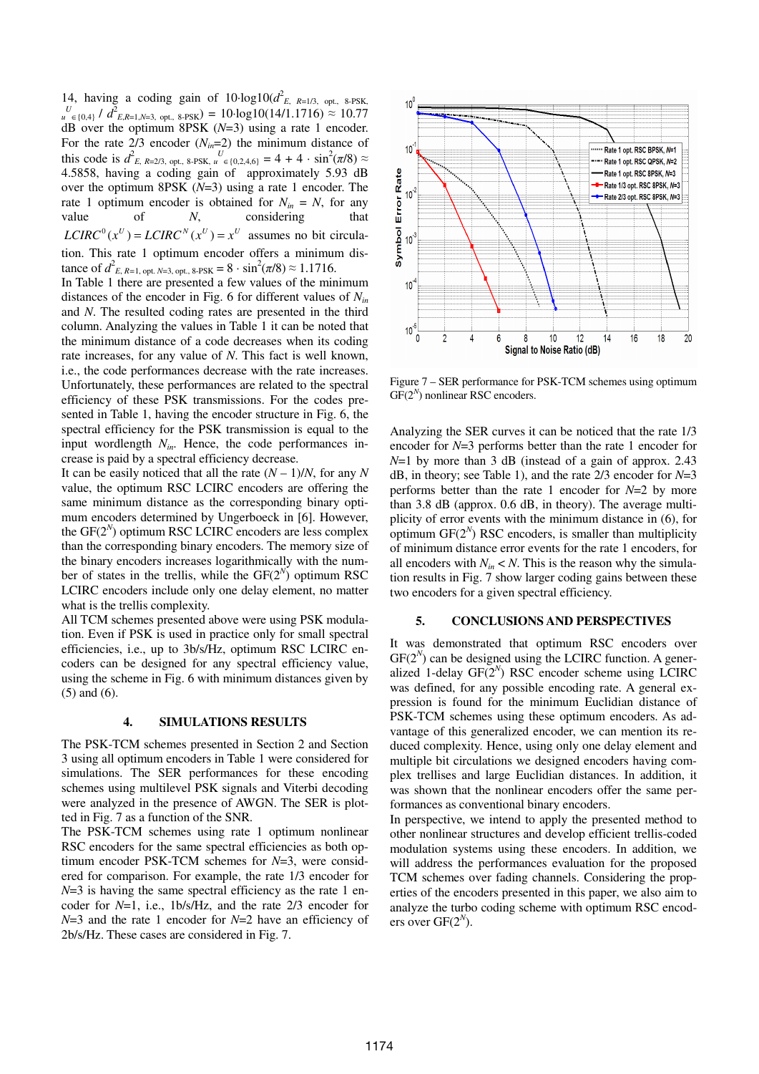14, having a coding gain of  $10 \cdot \log 10(d_{E, R=1/3, opt.}^2)$ , 8-PSK, *U u* ∈{0,4} /  $d$ <sup>2</sup> *E*,*R*=1,*N*=3, opt., 8-PSK) = 10·log10(14/1.1716) ≈ 10.77 dB over the optimum 8PSK (*N*=3) using a rate 1 encoder. For the rate  $2/3$  encoder  $(N_{in}=2)$  the minimum distance of this code is  $d_{E, R=2/3, opt, 8-PSK, u \in \{0, 2, 4, 6\}}^U = 4 + 4 \cdot \sin^2(\pi/8) \approx$ 4.5858, having a coding gain of approximately 5.93 dB over the optimum 8PSK (*N*=3) using a rate 1 encoder. The rate 1 optimum encoder is obtained for  $N_{in} = N$ , for any value of *N*, considering that  $LCIRC<sup>0</sup>(x<sup>U</sup>) = LCIRC<sup>N</sup>(x<sup>U</sup>) = x<sup>U</sup>$  assumes no bit circulation. This rate 1 optimum encoder offers a minimum distance of  $d_{E, R=1, \text{ opt. } N=3, \text{ opt. } 8\text{-PSK}}^2 = 8 \cdot \sin^2(\pi/8) \approx 1.1716$ .

In Table 1 there are presented a few values of the minimum distances of the encoder in Fig. 6 for different values of *Nin* and *N*. The resulted coding rates are presented in the third column. Analyzing the values in Table 1 it can be noted that the minimum distance of a code decreases when its coding rate increases, for any value of *N*. This fact is well known, i.e., the code performances decrease with the rate increases. Unfortunately, these performances are related to the spectral efficiency of these PSK transmissions. For the codes presented in Table 1, having the encoder structure in Fig. 6, the spectral efficiency for the PSK transmission is equal to the input wordlength *Nin*. Hence, the code performances increase is paid by a spectral efficiency decrease.

It can be easily noticed that all the rate  $(N - 1)/N$ , for any N value, the optimum RSC LCIRC encoders are offering the same minimum distance as the corresponding binary optimum encoders determined by Ungerboeck in [6]. However, the  $GF(2^N)$  optimum RSC LCIRC encoders are less complex than the corresponding binary encoders. The memory size of the binary encoders increases logarithmically with the number of states in the trellis, while the  $GF(2^N)$  optimum RSC LCIRC encoders include only one delay element, no matter what is the trellis complexity.

All TCM schemes presented above were using PSK modulation. Even if PSK is used in practice only for small spectral efficiencies, i.e., up to 3b/s/Hz, optimum RSC LCIRC encoders can be designed for any spectral efficiency value, using the scheme in Fig. 6 with minimum distances given by (5) and (6).

### **4. SIMULATIONS RESULTS**

The PSK-TCM schemes presented in Section 2 and Section 3 using all optimum encoders in Table 1 were considered for simulations. The SER performances for these encoding schemes using multilevel PSK signals and Viterbi decoding were analyzed in the presence of AWGN. The SER is plotted in Fig. 7 as a function of the SNR.

The PSK-TCM schemes using rate 1 optimum nonlinear RSC encoders for the same spectral efficiencies as both optimum encoder PSK-TCM schemes for *N*=3, were considered for comparison. For example, the rate 1/3 encoder for *N*=3 is having the same spectral efficiency as the rate 1 encoder for *N*=1, i.e., 1b/s/Hz, and the rate 2/3 encoder for *N*=3 and the rate 1 encoder for *N*=2 have an efficiency of 2b/s/Hz. These cases are considered in Fig. 7.



Figure 7 – SER performance for PSK-TCM schemes using optimum GF(2<sup>N</sup>) nonlinear RSC encoders.

Analyzing the SER curves it can be noticed that the rate 1/3 encoder for *N*=3 performs better than the rate 1 encoder for *N*=1 by more than 3 dB (instead of a gain of approx. 2.43 dB, in theory; see Table 1), and the rate 2/3 encoder for *N*=3 performs better than the rate 1 encoder for *N*=2 by more than 3.8 dB (approx. 0.6 dB, in theory). The average multiplicity of error events with the minimum distance in (6), for optimum  $GF(2^N)$  RSC encoders, is smaller than multiplicity of minimum distance error events for the rate 1 encoders, for all encoders with  $N_{in} < N$ . This is the reason why the simulation results in Fig. 7 show larger coding gains between these two encoders for a given spectral efficiency.

### **5. CONCLUSIONS AND PERSPECTIVES**

It was demonstrated that optimum RSC encoders over  $GF(2<sup>N</sup>)$  can be designed using the LCIRC function. A generalized 1-delay  $GF(2^N)$  RSC encoder scheme using LCIRC was defined, for any possible encoding rate. A general expression is found for the minimum Euclidian distance of PSK-TCM schemes using these optimum encoders. As advantage of this generalized encoder, we can mention its reduced complexity. Hence, using only one delay element and multiple bit circulations we designed encoders having complex trellises and large Euclidian distances. In addition, it was shown that the nonlinear encoders offer the same performances as conventional binary encoders.

In perspective, we intend to apply the presented method to other nonlinear structures and develop efficient trellis-coded modulation systems using these encoders. In addition, we will address the performances evaluation for the proposed TCM schemes over fading channels. Considering the properties of the encoders presented in this paper, we also aim to analyze the turbo coding scheme with optimum RSC encoders over  $GF(2<sup>N</sup>)$ .